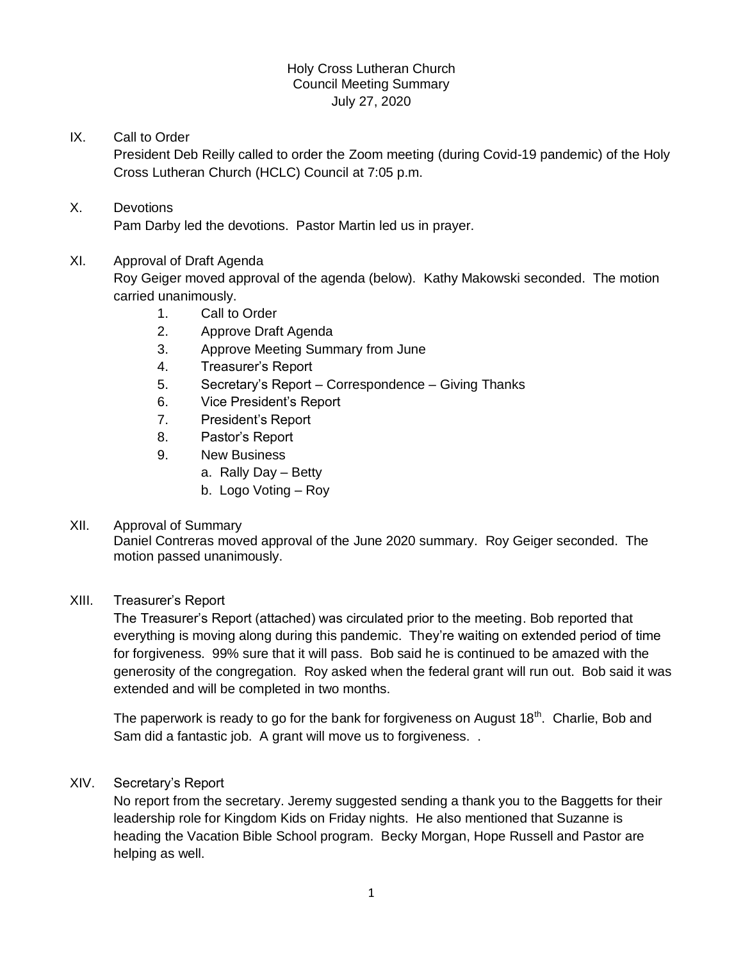## Holy Cross Lutheran Church Council Meeting Summary July 27, 2020

# IX. Call to Order

President Deb Reilly called to order the Zoom meeting (during Covid-19 pandemic) of the Holy Cross Lutheran Church (HCLC) Council at 7:05 p.m.

# X. Devotions

Pam Darby led the devotions. Pastor Martin led us in prayer.

## XI. Approval of Draft Agenda

Roy Geiger moved approval of the agenda (below). Kathy Makowski seconded. The motion carried unanimously.

- 1. Call to Order
- 2. Approve Draft Agenda
- 3. Approve Meeting Summary from June
- 4. Treasurer's Report
- 5. Secretary's Report Correspondence Giving Thanks
- 6. Vice President's Report
- 7. President's Report
- 8. Pastor's Report
- 9. New Business
	- a. Rally Day Betty
		- b. Logo Voting Roy

## XII. Approval of Summary

Daniel Contreras moved approval of the June 2020 summary. Roy Geiger seconded. The motion passed unanimously.

## XIII. Treasurer's Report

The Treasurer's Report (attached) was circulated prior to the meeting. Bob reported that everything is moving along during this pandemic. They're waiting on extended period of time for forgiveness. 99% sure that it will pass. Bob said he is continued to be amazed with the generosity of the congregation. Roy asked when the federal grant will run out. Bob said it was extended and will be completed in two months.

The paperwork is ready to go for the bank for forgiveness on August  $18<sup>th</sup>$ . Charlie, Bob and Sam did a fantastic job. A grant will move us to forgiveness. .

## XIV. Secretary's Report

No report from the secretary. Jeremy suggested sending a thank you to the Baggetts for their leadership role for Kingdom Kids on Friday nights. He also mentioned that Suzanne is heading the Vacation Bible School program. Becky Morgan, Hope Russell and Pastor are helping as well.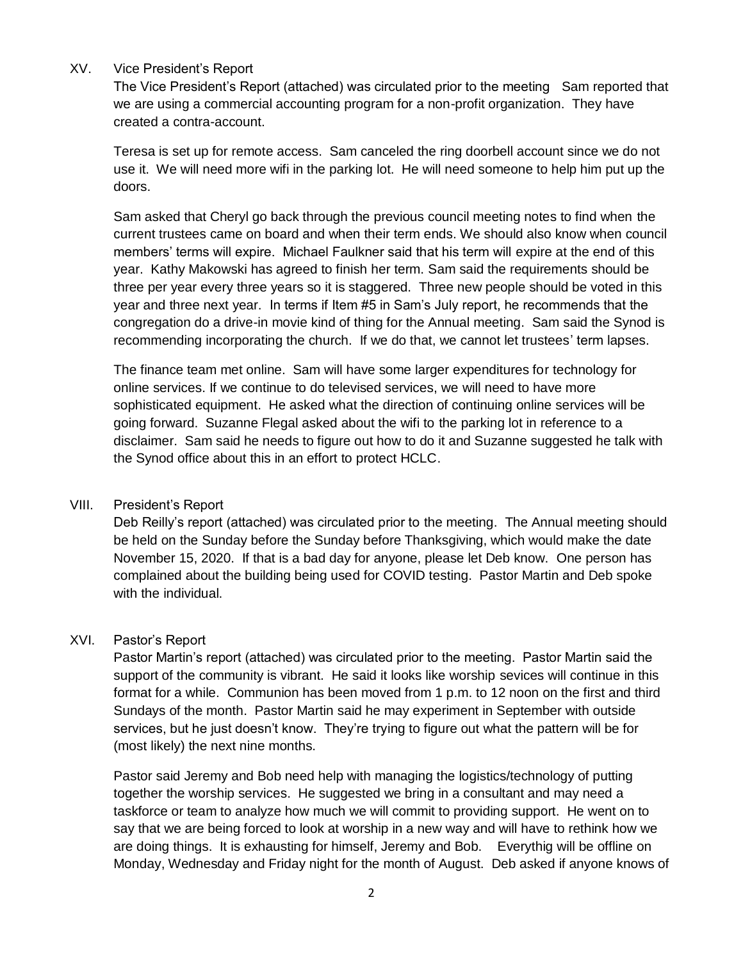## XV. Vice President's Report

The Vice President's Report (attached) was circulated prior to the meeting Sam reported that we are using a commercial accounting program for a non-profit organization. They have created a contra-account.

Teresa is set up for remote access. Sam canceled the ring doorbell account since we do not use it. We will need more wifi in the parking lot. He will need someone to help him put up the doors.

Sam asked that Cheryl go back through the previous council meeting notes to find when the current trustees came on board and when their term ends. We should also know when council members' terms will expire. Michael Faulkner said that his term will expire at the end of this year. Kathy Makowski has agreed to finish her term. Sam said the requirements should be three per year every three years so it is staggered. Three new people should be voted in this year and three next year. In terms if Item #5 in Sam's July report, he recommends that the congregation do a drive-in movie kind of thing for the Annual meeting. Sam said the Synod is recommending incorporating the church. If we do that, we cannot let trustees' term lapses.

The finance team met online. Sam will have some larger expenditures for technology for online services. If we continue to do televised services, we will need to have more sophisticated equipment. He asked what the direction of continuing online services will be going forward. Suzanne Flegal asked about the wifi to the parking lot in reference to a disclaimer. Sam said he needs to figure out how to do it and Suzanne suggested he talk with the Synod office about this in an effort to protect HCLC.

## VIII. President's Report

Deb Reilly's report (attached) was circulated prior to the meeting. The Annual meeting should be held on the Sunday before the Sunday before Thanksgiving, which would make the date November 15, 2020. If that is a bad day for anyone, please let Deb know. One person has complained about the building being used for COVID testing. Pastor Martin and Deb spoke with the individual.

## XVI. Pastor's Report

Pastor Martin's report (attached) was circulated prior to the meeting. Pastor Martin said the support of the community is vibrant. He said it looks like worship sevices will continue in this format for a while. Communion has been moved from 1 p.m. to 12 noon on the first and third Sundays of the month. Pastor Martin said he may experiment in September with outside services, but he just doesn't know. They're trying to figure out what the pattern will be for (most likely) the next nine months.

Pastor said Jeremy and Bob need help with managing the logistics/technology of putting together the worship services. He suggested we bring in a consultant and may need a taskforce or team to analyze how much we will commit to providing support. He went on to say that we are being forced to look at worship in a new way and will have to rethink how we are doing things. It is exhausting for himself, Jeremy and Bob. Everythig will be offline on Monday, Wednesday and Friday night for the month of August. Deb asked if anyone knows of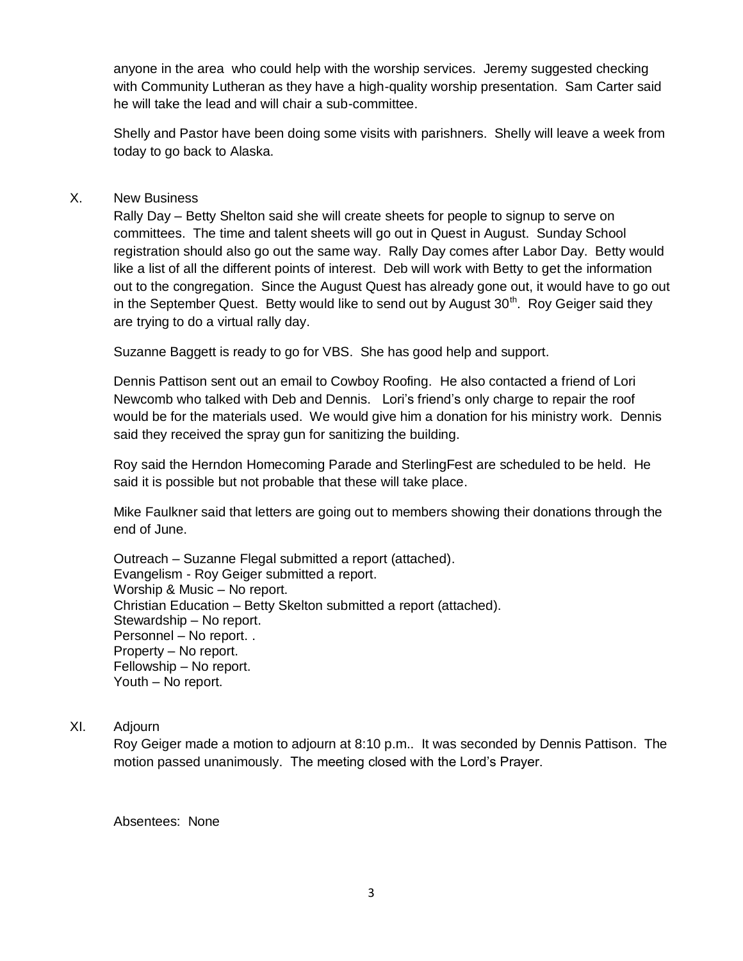anyone in the area who could help with the worship services. Jeremy suggested checking with Community Lutheran as they have a high-quality worship presentation. Sam Carter said he will take the lead and will chair a sub-committee.

Shelly and Pastor have been doing some visits with parishners. Shelly will leave a week from today to go back to Alaska.

## X. New Business

Rally Day – Betty Shelton said she will create sheets for people to signup to serve on committees. The time and talent sheets will go out in Quest in August. Sunday School registration should also go out the same way. Rally Day comes after Labor Day. Betty would like a list of all the different points of interest. Deb will work with Betty to get the information out to the congregation. Since the August Quest has already gone out, it would have to go out in the September Quest. Betty would like to send out by August  $30<sup>th</sup>$ . Roy Geiger said they are trying to do a virtual rally day.

Suzanne Baggett is ready to go for VBS. She has good help and support.

Dennis Pattison sent out an email to Cowboy Roofing. He also contacted a friend of Lori Newcomb who talked with Deb and Dennis. Lori's friend's only charge to repair the roof would be for the materials used. We would give him a donation for his ministry work. Dennis said they received the spray gun for sanitizing the building.

Roy said the Herndon Homecoming Parade and SterlingFest are scheduled to be held. He said it is possible but not probable that these will take place.

Mike Faulkner said that letters are going out to members showing their donations through the end of June.

Outreach – Suzanne Flegal submitted a report (attached). Evangelism - Roy Geiger submitted a report. Worship & Music – No report. Christian Education – Betty Skelton submitted a report (attached). Stewardship – No report. Personnel – No report. . Property – No report. Fellowship – No report. Youth – No report.

## XI. Adjourn

Roy Geiger made a motion to adjourn at 8:10 p.m.. It was seconded by Dennis Pattison. The motion passed unanimously. The meeting closed with the Lord's Prayer.

Absentees: None